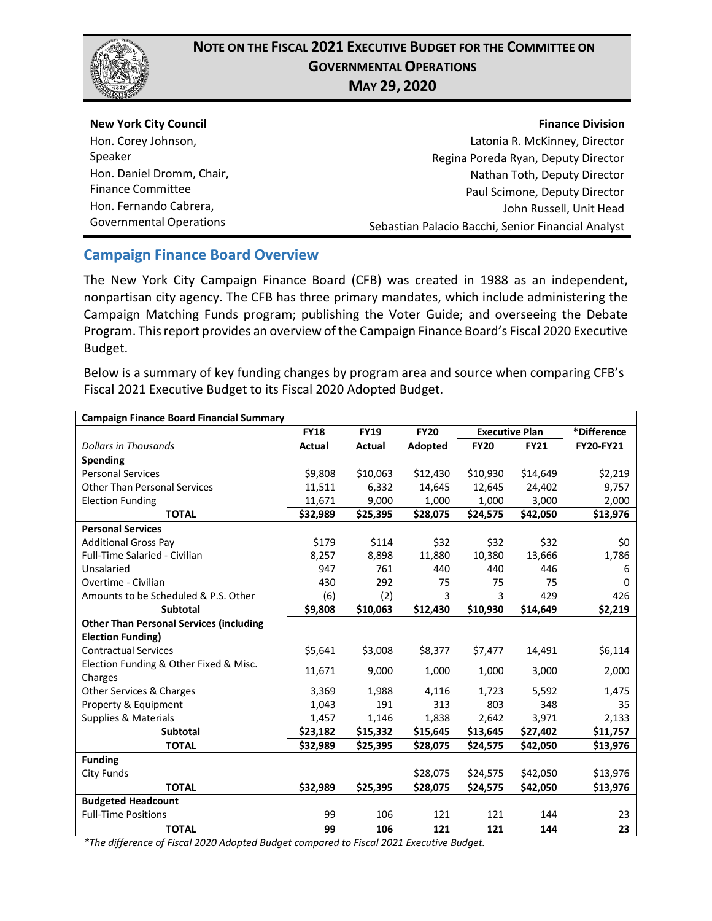

| <b>New York City Council</b>   | <b>Finance Division</b>                            |
|--------------------------------|----------------------------------------------------|
| Hon. Corey Johnson,            | Latonia R. McKinney, Director                      |
| Speaker                        | Regina Poreda Ryan, Deputy Director                |
| Hon. Daniel Dromm, Chair,      | Nathan Toth, Deputy Director                       |
| <b>Finance Committee</b>       | Paul Scimone, Deputy Director                      |
| Hon. Fernando Cabrera,         | John Russell, Unit Head                            |
| <b>Governmental Operations</b> | Sebastian Palacio Bacchi, Senior Financial Analyst |

#### **Campaign Finance Board Overview**

The New York City Campaign Finance Board (CFB) was created in 1988 as an independent, nonpartisan city agency. The CFB has three primary mandates, which include administering the Campaign Matching Funds program; publishing the Voter Guide; and overseeing the Debate Program. This report provides an overview of the Campaign Finance Board's Fiscal 2020 Executive Budget.

Below is a summary of key funding changes by program area and source when comparing CFB's Fiscal 2021 Executive Budget to its Fiscal 2020 Adopted Budget.

| <b>Campaign Finance Board Financial Summary</b> |             |               |             |                       |             |                  |
|-------------------------------------------------|-------------|---------------|-------------|-----------------------|-------------|------------------|
|                                                 | <b>FY18</b> | <b>FY19</b>   | <b>FY20</b> | <b>Executive Plan</b> |             | *Difference      |
| <b>Dollars in Thousands</b>                     | Actual      | <b>Actual</b> | Adopted     | <b>FY20</b>           | <b>FY21</b> | <b>FY20-FY21</b> |
| Spending                                        |             |               |             |                       |             |                  |
| <b>Personal Services</b>                        | \$9,808     | \$10,063      | \$12,430    | \$10,930              | \$14,649    | \$2,219          |
| <b>Other Than Personal Services</b>             | 11,511      | 6,332         | 14,645      | 12,645                | 24,402      | 9,757            |
| <b>Election Funding</b>                         | 11,671      | 9,000         | 1,000       | 1,000                 | 3,000       | 2,000            |
| <b>TOTAL</b>                                    | \$32,989    | \$25,395      | \$28,075    | \$24,575              | \$42,050    | \$13,976         |
| <b>Personal Services</b>                        |             |               |             |                       |             |                  |
| <b>Additional Gross Pay</b>                     | \$179       | \$114         | \$32        | \$32                  | \$32        | \$0              |
| Full-Time Salaried - Civilian                   | 8,257       | 8,898         | 11,880      | 10,380                | 13,666      | 1,786            |
| Unsalaried                                      | 947         | 761           | 440         | 440                   | 446         | 6                |
| Overtime - Civilian                             | 430         | 292           | 75          | 75                    | 75          | $\Omega$         |
| Amounts to be Scheduled & P.S. Other            | (6)         | (2)           | 3           | 3                     | 429         | 426              |
| <b>Subtotal</b>                                 | \$9,808     | \$10,063      | \$12,430    | \$10,930              | \$14,649    | \$2,219          |
| <b>Other Than Personal Services (including</b>  |             |               |             |                       |             |                  |
| <b>Election Funding)</b>                        |             |               |             |                       |             |                  |
| <b>Contractual Services</b>                     | \$5,641     | \$3,008       | \$8,377     | \$7,477               | 14,491      | \$6,114          |
| Election Funding & Other Fixed & Misc.          | 11,671      | 9,000         | 1,000       | 1,000                 | 3,000       | 2,000            |
| Charges                                         |             |               |             |                       |             |                  |
| Other Services & Charges                        | 3,369       | 1,988         | 4,116       | 1,723                 | 5,592       | 1,475            |
| Property & Equipment                            | 1,043       | 191           | 313         | 803                   | 348         | 35               |
| <b>Supplies &amp; Materials</b>                 | 1,457       | 1,146         | 1,838       | 2,642                 | 3,971       | 2,133            |
| Subtotal                                        | \$23,182    | \$15,332      | \$15,645    | \$13,645              | \$27,402    | \$11,757         |
| <b>TOTAL</b>                                    | \$32,989    | \$25,395      | \$28,075    | \$24,575              | \$42,050    | \$13,976         |
| <b>Funding</b>                                  |             |               |             |                       |             |                  |
| <b>City Funds</b>                               |             |               | \$28,075    | \$24,575              | \$42,050    | \$13,976         |
| <b>TOTAL</b>                                    | \$32,989    | \$25,395      | \$28,075    | \$24,575              | \$42,050    | \$13,976         |
| <b>Budgeted Headcount</b>                       |             |               |             |                       |             |                  |
| <b>Full-Time Positions</b>                      | 99          | 106           | 121         | 121                   | 144         | 23               |
| <b>TOTAL</b>                                    | 99          | 106           | 121         | 121                   | 144         | 23               |

*\*The difference of Fiscal 2020 Adopted Budget compared to Fiscal 2021 Executive Budget.*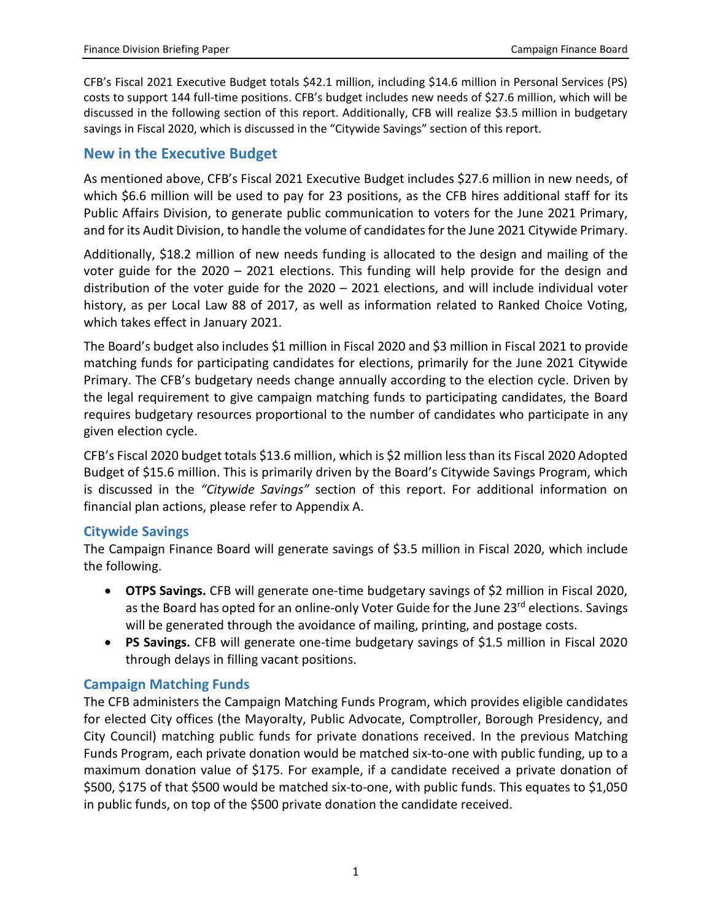CFB's Fiscal 2021 Executive Budget totals \$42.1 million, including \$14.6 million in Personal Services (PS) costs to support 144 full-time positions. CFB's budget includes new needs of \$27.6 million, which will be discussed in the following section of this report. Additionally, CFB will realize \$3.5 million in budgetary savings in Fiscal 2020, which is discussed in the "Citywide Savings" section of this report.

## **New in the Executive Budget**

As mentioned above, CFB's Fiscal 2021 Executive Budget includes \$27.6 million in new needs, of which \$6.6 million will be used to pay for 23 positions, as the CFB hires additional staff for its Public Affairs Division, to generate public communication to voters for the June 2021 Primary, and for its Audit Division, to handle the volume of candidates for the June 2021 Citywide Primary.

Additionally, \$18.2 million of new needs funding is allocated to the design and mailing of the voter guide for the 2020 – 2021 elections. This funding will help provide for the design and distribution of the voter guide for the 2020 – 2021 elections, and will include individual voter history, as per Local Law 88 of 2017, as well as information related to Ranked Choice Voting, which takes effect in January 2021.

The Board's budget also includes \$1 million in Fiscal 2020 and \$3 million in Fiscal 2021 to provide matching funds for participating candidates for elections, primarily for the June 2021 Citywide Primary. The CFB's budgetary needs change annually according to the election cycle. Driven by the legal requirement to give campaign matching funds to participating candidates, the Board requires budgetary resources proportional to the number of candidates who participate in any given election cycle.

CFB's Fiscal 2020 budget totals \$13.6 million, which is \$2 million less than its Fiscal 2020 Adopted Budget of \$15.6 million. This is primarily driven by the Board's Citywide Savings Program, which is discussed in the *"Citywide Savings"* section of this report. For additional information on financial plan actions, please refer to Appendix A.

## **Citywide Savings**

The Campaign Finance Board will generate savings of \$3.5 million in Fiscal 2020, which include the following.

- **OTPS Savings.** CFB will generate one-time budgetary savings of \$2 million in Fiscal 2020, as the Board has opted for an online-only Voter Guide for the June 23<sup>rd</sup> elections. Savings will be generated through the avoidance of mailing, printing, and postage costs.
- **PS Savings.** CFB will generate one-time budgetary savings of \$1.5 million in Fiscal 2020 through delays in filling vacant positions.

## **Campaign Matching Funds**

The CFB administers the Campaign Matching Funds Program, which provides eligible candidates for elected City offices (the Mayoralty, Public Advocate, Comptroller, Borough Presidency, and City Council) matching public funds for private donations received. In the previous Matching Funds Program, each private donation would be matched six-to-one with public funding, up to a maximum donation value of \$175. For example, if a candidate received a private donation of \$500, \$175 of that \$500 would be matched six-to-one, with public funds. This equates to \$1,050 in public funds, on top of the \$500 private donation the candidate received.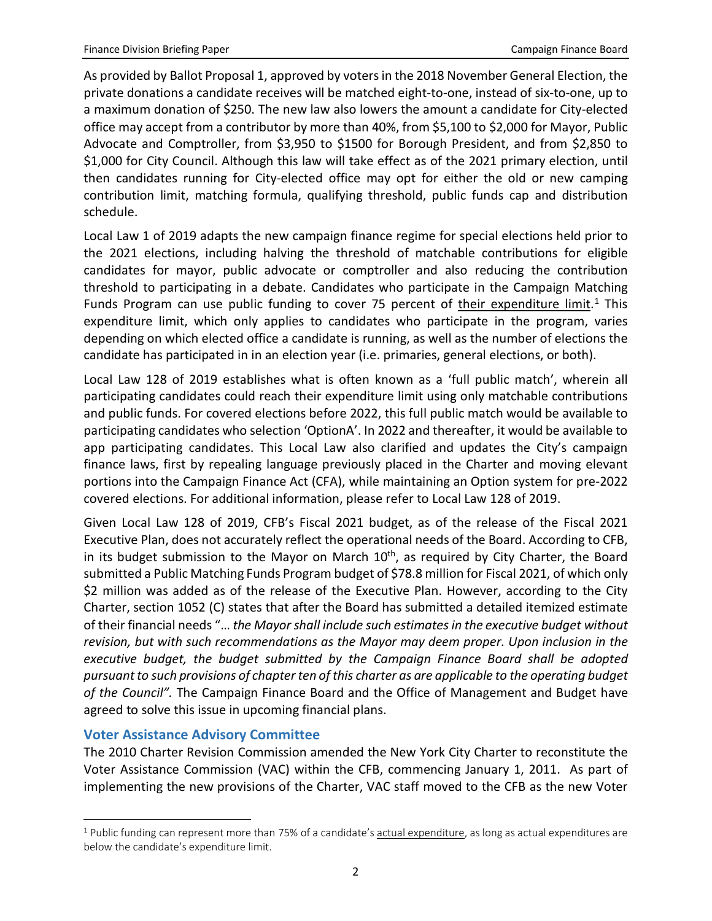As provided by Ballot Proposal 1, approved by voters in the 2018 November General Election, the private donations a candidate receives will be matched eight-to-one, instead of six-to-one, up to a maximum donation of \$250. The new law also lowers the amount a candidate for City-elected office may accept from a contributor by more than 40%, from \$5,100 to \$2,000 for Mayor, Public Advocate and Comptroller, from \$3,950 to \$1500 for Borough President, and from \$2,850 to \$1,000 for City Council. Although this law will take effect as of the 2021 primary election, until then candidates running for City-elected office may opt for either the old or new camping contribution limit, matching formula, qualifying threshold, public funds cap and distribution schedule.

Local Law 1 of 2019 adapts the new campaign finance regime for special elections held prior to the 2021 elections, including halving the threshold of matchable contributions for eligible candidates for mayor, public advocate or comptroller and also reducing the contribution threshold to participating in a debate. Candidates who participate in the Campaign Matching Funds Program can use public funding to cover 75 percent of their expenditure limit.<sup>[1](#page-2-0)</sup> This expenditure limit, which only applies to candidates who participate in the program, varies depending on which elected office a candidate is running, as well as the number of elections the candidate has participated in in an election year (i.e. primaries, general elections, or both).

Local Law 128 of 2019 establishes what is often known as a 'full public match', wherein all participating candidates could reach their expenditure limit using only matchable contributions and public funds. For covered elections before 2022, this full public match would be available to participating candidates who selection 'OptionA'. In 2022 and thereafter, it would be available to app participating candidates. This Local Law also clarified and updates the City's campaign finance laws, first by repealing language previously placed in the Charter and moving elevant portions into the Campaign Finance Act (CFA), while maintaining an Option system for pre-2022 covered elections. For additional information, please refer to Local Law 128 of 2019.

Given Local Law 128 of 2019, CFB's Fiscal 2021 budget, as of the release of the Fiscal 2021 Executive Plan, does not accurately reflect the operational needs of the Board. According to CFB, in its budget submission to the Mayor on March  $10<sup>th</sup>$ , as required by City Charter, the Board submitted a Public Matching Funds Program budget of \$78.8 million for Fiscal 2021, of which only \$2 million was added as of the release of the Executive Plan. However, according to the City Charter, section 1052 (C) states that after the Board has submitted a detailed itemized estimate of their financial needs "… *the Mayor shall include such estimates in the executive budget without revision, but with such recommendations as the Mayor may deem proper. Upon inclusion in the executive budget, the budget submitted by the Campaign Finance Board shall be adopted pursuant to such provisions of chapter ten of this charter as are applicable to the operating budget of the Council".* The Campaign Finance Board and the Office of Management and Budget have agreed to solve this issue in upcoming financial plans.

#### **Voter Assistance Advisory Committee**

l

The 2010 Charter Revision Commission amended the New York City Charter to reconstitute the Voter Assistance Commission (VAC) within the CFB, commencing January 1, 2011. As part of implementing the new provisions of the Charter, VAC staff moved to the CFB as the new Voter

<span id="page-2-0"></span> $1$  Public funding can represent more than 75% of a candidate's actual expenditure, as long as actual expenditures are below the candidate's expenditure limit.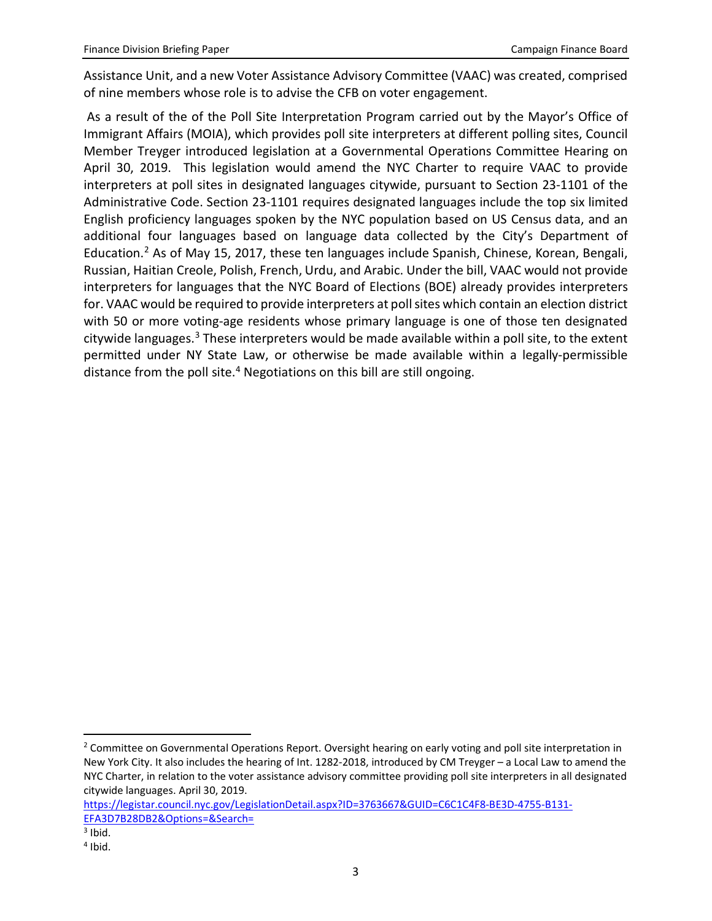Assistance Unit, and a new Voter Assistance Advisory Committee (VAAC) was created, comprised of nine members whose role is to advise the CFB on voter engagement.

As a result of the of the Poll Site Interpretation Program carried out by the Mayor's Office of Immigrant Affairs (MOIA), which provides poll site interpreters at different polling sites, Council Member Treyger introduced legislation at a Governmental Operations Committee Hearing on April 30, 2019. This legislation would amend the NYC Charter to require VAAC to provide interpreters at poll sites in designated languages citywide, pursuant to Section 23-1101 of the Administrative Code. Section 23-1101 requires designated languages include the top six limited English proficiency languages spoken by the NYC population based on US Census data, and an additional four languages based on language data collected by the City's Department of Education.[2](#page-3-0) As of May 15, 2017, these ten languages include Spanish, Chinese, Korean, Bengali, Russian, Haitian Creole, Polish, French, Urdu, and Arabic. Under the bill, VAAC would not provide interpreters for languages that the NYC Board of Elections (BOE) already provides interpreters for. VAAC would be required to provide interpreters at poll sites which contain an election district with 50 or more voting-age residents whose primary language is one of those ten designated citywide languages.<sup>[3](#page-3-1)</sup> These interpreters would be made available within a poll site, to the extent permitted under NY State Law, or otherwise be made available within a legally-permissible distance from the poll site.[4](#page-3-2) Negotiations on this bill are still ongoing.

<span id="page-3-0"></span><sup>&</sup>lt;sup>2</sup> Committee on Governmental Operations Report. Oversight hearing on early voting and poll site interpretation in New York City. It also includes the hearing of Int. 1282-2018, introduced by CM Treyger – a Local Law to amend the NYC Charter, in relation to the voter assistance advisory committee providing poll site interpreters in all designated citywide languages. April 30, 2019.

[https://legistar.council.nyc.gov/LegislationDetail.aspx?ID=3763667&GUID=C6C1C4F8-BE3D-4755-B131-](https://legistar.council.nyc.gov/LegislationDetail.aspx?ID=3763667&GUID=C6C1C4F8-BE3D-4755-B131-EFA3D7B28DB2&Options=&Search=) [EFA3D7B28DB2&Options=&Search=](https://legistar.council.nyc.gov/LegislationDetail.aspx?ID=3763667&GUID=C6C1C4F8-BE3D-4755-B131-EFA3D7B28DB2&Options=&Search=)

<span id="page-3-1"></span> $3$  Ibid.

<span id="page-3-2"></span> $4$  Ibid.